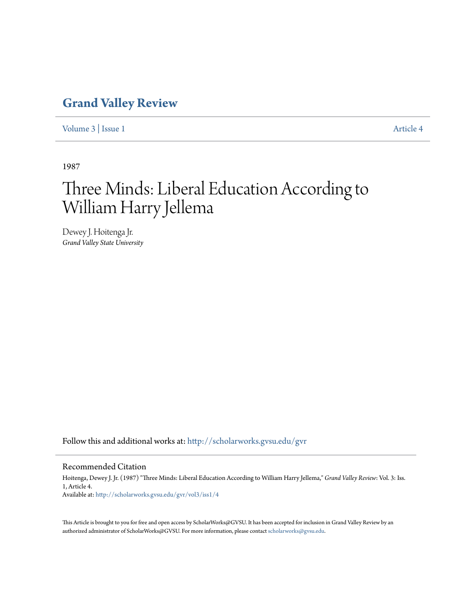## **[Grand Valley Review](http://scholarworks.gvsu.edu/gvr?utm_source=scholarworks.gvsu.edu%2Fgvr%2Fvol3%2Fiss1%2F4&utm_medium=PDF&utm_campaign=PDFCoverPages)**

[Volume 3](http://scholarworks.gvsu.edu/gvr/vol3?utm_source=scholarworks.gvsu.edu%2Fgvr%2Fvol3%2Fiss1%2F4&utm_medium=PDF&utm_campaign=PDFCoverPages) | [Issue 1](http://scholarworks.gvsu.edu/gvr/vol3/iss1?utm_source=scholarworks.gvsu.edu%2Fgvr%2Fvol3%2Fiss1%2F4&utm_medium=PDF&utm_campaign=PDFCoverPages) [Article 4](http://scholarworks.gvsu.edu/gvr/vol3/iss1/4?utm_source=scholarworks.gvsu.edu%2Fgvr%2Fvol3%2Fiss1%2F4&utm_medium=PDF&utm_campaign=PDFCoverPages)

1987

# Three Minds: Liberal Education According to William Harry Jellema

Dewey J. Hoitenga Jr. *Grand Valley State University*

Follow this and additional works at: [http://scholarworks.gvsu.edu/gvr](http://scholarworks.gvsu.edu/gvr?utm_source=scholarworks.gvsu.edu%2Fgvr%2Fvol3%2Fiss1%2F4&utm_medium=PDF&utm_campaign=PDFCoverPages)

### Recommended Citation

Hoitenga, Dewey J. Jr. (1987) "Three Minds: Liberal Education According to William Harry Jellema," *Grand Valley Review*: Vol. 3: Iss. 1, Article 4. Available at: [http://scholarworks.gvsu.edu/gvr/vol3/iss1/4](http://scholarworks.gvsu.edu/gvr/vol3/iss1/4?utm_source=scholarworks.gvsu.edu%2Fgvr%2Fvol3%2Fiss1%2F4&utm_medium=PDF&utm_campaign=PDFCoverPages)

This Article is brought to you for free and open access by ScholarWorks@GVSU. It has been accepted for inclusion in Grand Valley Review by an authorized administrator of ScholarWorks@GVSU. For more information, please contact [scholarworks@gvsu.edu.](mailto:scholarworks@gvsu.edu)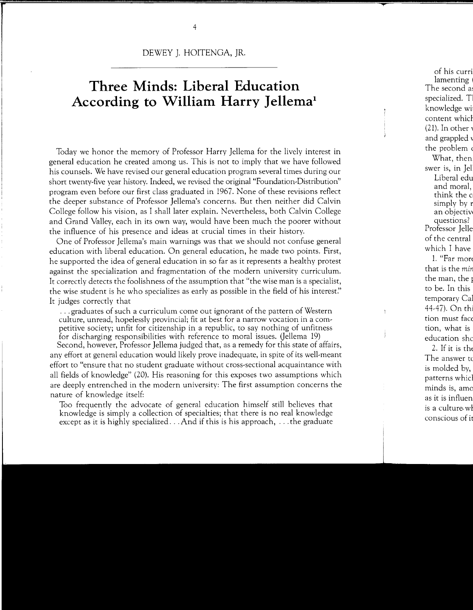DEWEY *].* HOITENGA, JR.

## **Three Minds: Liberal Education According to William Harry Jellema<sup>1</sup>**

Today we honor the memory of Professor Harry Jellema for the lively interest in general education he created among us. This is not to imply that we have followed his counsels. We have revised our general education program several times during our short twenty-five year history. Indeed, we revised the original "Foundation-Distribution" program even before our first class graduated in 1967. None of these revisions reflect the deeper substance of Professor Jellema's concerns. But then neither did Calvin College follow his vision, as I shall later explain. Nevertheless, both Calvin College and Grand Valley, each in its own way, would have been much the poorer without the influence of his presence and ideas at crucial times in their history.

One of Professor Jellema's main warnings was that we should not confuse general education with liberal education. On general education, he made two points. First, he supported the idea of general education in so far as it represents a healthy protest against the specialization and fragmentation of the modern university curriculum. It correctly detects the foolishness of the assumption that "the wise man is a specialist, the wise student is he who specializes as early as possible in the field of his interest." It judges correctly that

... graduates of such a curriculum come out ignorant of the pattern of Western culture, unread, hopelessly provincial; fit at best for a narrow vocation in a competitive society; unfit for citizenship in a republic, to say nothing of unfitness for discharging responsibilities with reference to moral issues. (Jellema 19)

Second, however, Professor Jellema judged that, as a remedy for this state of affairs, any effort at general education would likely prove inadequate, in spite of its well-meant effort to "ensure that no student graduate without cross-sectional acquaintance with all fields of knowledge" (20). His reasoning for this exposes two assumptions which are deeply entrenched in the modern university: The first assumption concerns the nature of knowledge itself:

Too frequently the advocate of general education himself still believes that knowledge is simply a collection of specialties; that there is no real knowledge except as it is highly specialized  $\dots$  And if this is his approach,  $\dots$  the graduate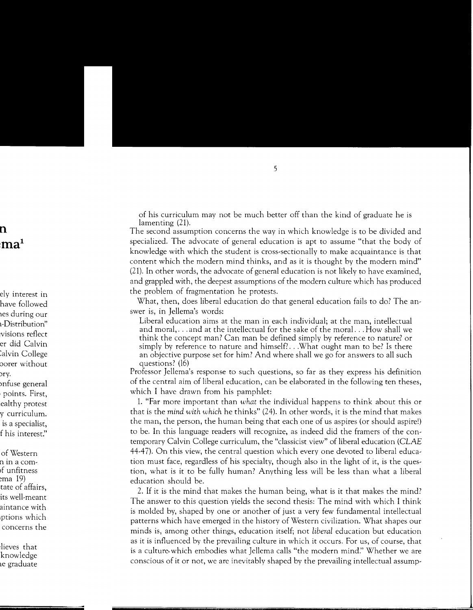of his curriculum may not be much better off than the kind of graduate he is lamenting (21).

The second assumption concerns the way in which knowledge is to be divided and specialized. The advocate of general education is apt to assume "that the body of knowledge with which the student is cross-sectionally to make acquaintance is that content which the modern mind thinks, and as it is thought by the modern mind" (21). In other words, the advocate of general education is not likely to have examined, and grappled with, the deepest assumptions of the modern culture which has produced the problem of fragmentation he protests.

What, then, does liberal education do that general education fails to do? The answer is, in Jellema's words:

Liberal education aims at the man in each individual; at the man, intellectual and moral, ... and at the intellectual for the sake of the moral ... How shall we think the concept man? Can man be defined simply by reference to nature? or simply by reference to nature and himself? ... What ought man to be? Is there an objective purpose set for him? And where shall we go for answers to all such questions? (16)

Professor Jellema's response to such questions, so far as they express his definition of the central aim of liberal education, can be elaborated in the following ten theses, which I have drawn from his pamphlet:

1. "Far more important than *what* the individual happens to think about this or that is the *mind with which* he thinks" (24). In other words, it is the mind that makes the man, the person, the human being that each one of us aspires (or should aspire!) to be. In this language readers will recognize, as indeed did the framers of the contemporary Calvin College curriculum, the "classicist view" of liberal education (CLAE 44-47). On this view, the central question which every one devoted to liberal education must face, regardless of his specialty, though also in the light of it, is the question, what is it to be fully human? Anything less will be less than what a liberal education should be.

2. If it is the mind that makes the human being, what is it that makes the mind? The answer to this question yields the second thesis: The mind with which I think is molded by, shaped by one or another of just a very few fundamental intellectual patterns which have emerged in the history of Western civilization. What shapes our minds is, among other things, education itself; not *liberal* education but education as it is influenced by the prevailing culture in which it occurs. For us, of course, that is a culture. which embodies what Jellema calls "the modern mind!' Whether we are conscious of it or not, we are inevitably shaped by the prevailing intellectual assump-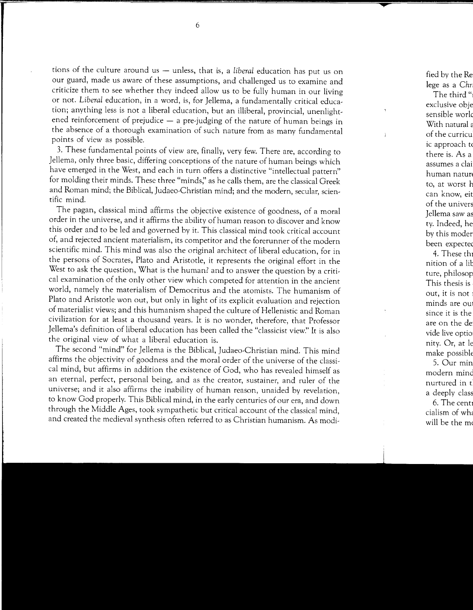tions of the culture around us - unless, that is, a *liberal* education has put us on our guard, made us aware of these assumptions, and challenged us to examine and criticize them to see whether they indeed allow us to be fully human in our living or not. *Liberal* education, in a word, is, for Jellema, a fundamentally critical education; anything less is not a liberal education, but an illiberal, provincial, unenlightened reinforcement of prejudice  $-$  a pre-judging of the nature of human beings in the absence of a thorough examination of such nature from as many fundamental points of view as possible.

3. These fundamental points of view are, finally, very few. There are, according to Jellema, only three basic, differing conceptions of the nature of human beings which have emerged in the West, and each in turn offers a distinctive "intellectual pattern" for molding their minds. These three "minds;' as he calls them, are the classical Greek and Roman mind; the Biblical, Judaeo-Christian mind; and the modern, secular, scientific mind.

The pagan, classical mind affirms the objective existence of goodness, of a moral order in the universe, and it affirms the ability of human reason to discover and know this order and to be led and governed by it. This classical mind took critical account of, and rejected ancient materialism, its competitor and the forerunner of the modern scientific mind. This mind was also the original architect of liberal education, for in the persons of Socrates, Plato and Aristotle, it represents the original effort in the West to ask the question, What is the human? and to answer the question by a critical examination of the only other view which competed for attention in the ancient world, namely the materialism of Democritus and the atomists. The humanism of Plato and Aristotle won out, but only in light of its explicit evaluation and rejection of materialist views; and this humanism shaped the culture of Hellenistic and Roman civilization for at least a thousand years. It is no wonder, therefore, that Professor Jellema's definition of liberal education has been called the "classicist view." It is also the original view of what a liberal education is.

The second "mind" for Jellema is the Biblical, Judaeo-Christian mind. This mind affirms the objectivity of goodness and the moral order of the universe of the classical mind, but affirms in addition the existence of God, who has revealed himself as an eternal, perfect, personal being, and as the creator, sustainer, and ruler of the universe; and it also affirms the inability of human reason, unaided by revelation, to know God properly. This Biblical mind, in the early centuries of our era, and down through the Middle Ages, took sympathetic but critical account of the classical mind, and created the medieval synthesis often referred to as Christian humanism. As modi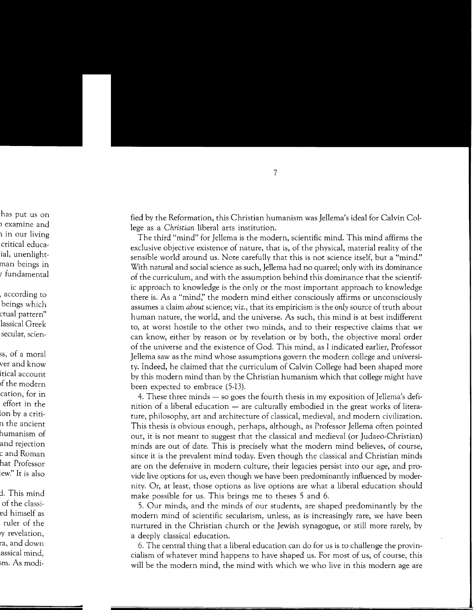fied by the Reformation, this Christian humanism was Jellema's ideal for Calvin College as a *Christian* liberal arts institution.

The third "mind" for Jellema is the modern, scientific mind. This mind affirms the exclusive objective existence of nature, that is, of the physical, material reality of the sensible world around us. Note carefully that this is not science itself, but a "mind?' With natural and social science as such, Jellema had no quarrel; only with its dominance of the curriculum, and with the assumption behind this dominance that the scientific approach to knowledge is the only or the most important approach to knowledge there is. As a "mind;' the modern mind either consciously affirms or unconsciously assumes a claim *about* science; viz., that its empiricism is the *only* source of truth about human nature, the world, and the universe. As such, this mind is at best indifferent to, at worst hostile to the other two minds, and to their respective claims that we can know, either by reason or by revelation or by both, the objective moral order of the universe and the existence of God. This mind, as I indicated earlier, Professor Jellema saw as the mind whose assumptions govern the modern college and university. Indeed, he claimed that the curriculum of Calvin College had been shaped more by this modern mind than by the Christian humanism which that college might have been expected to embrace (5-13).

4. These three minds — so goes the fourth thesis in my exposition of Jellema's definition of a liberal education  $-$  are culturally embodied in the great works of literature, philosophy, art and architecture of classical, medieval, and modern civilization. This thesis is obvious enough, perhaps, although, as Professor Jellema often pointed out, it is not meant to suggest that the classical and medieval (or Judaeo-Christian) minds are out of date. This is precisely what the modern mind believes, of course, since it is the prevalent mind today. Even though the classical and Christian minds are on the defensive in modern culture, their legacies persist into our age, and provide live options for us, even though we have been predominantly influenced by modernity. Or, at least, those options as live options are what a liberal education should make possible for us. This brings me to theses 5 and 6.

5. Our minds, and the minds of our students, are shaped predominantly by the modern mind of scientific secularism, unless, as is increasingly rare, we have been nurtured in the Christian church or the Jewish synagogue, or still more rarely, by a deeply classical education.

6. The central thing that a liberal education can do for us is to challenge the provincialism of whatever mind happens to have shaped us. For most of us, of course, this will be the modern mind, the mind with which we who live in this modern age are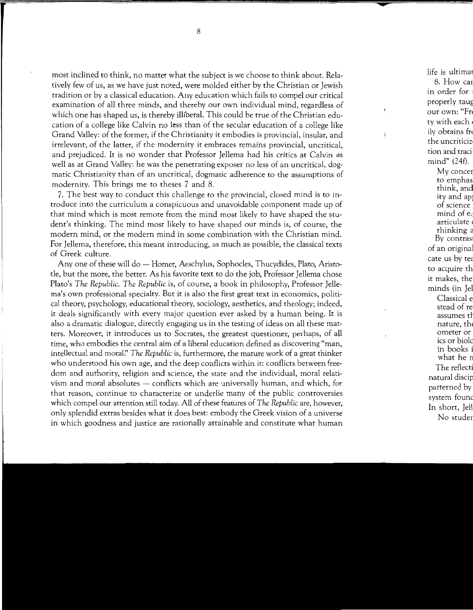most inclined to think, no matter what the subject is we choose to think about. Relatively few of us, as we have just noted, were molded either by the Christian or Jewish tradition or by a classical education. Any education which fails to compel our critical examination of all three minds, and thereby our own individual mind, regardless of which one has shaped us, is thereby illiberal. This could be true of the Christian education of a college like Calvin no less than of the secular education of a college like Grand Valley: of the former, if the Christianity it embodies is provincial, insular, and irrelevant; of the latter, if the modernity it embraces remains provincial, uncritical, and prejudiced. It is no wonder that Professor Jellema had his critics at Calvin as well as at Grand Valley: he was the penetrating exposer no less of an uncritical, dogmatic Christianity than of an uncritical, dogmatic adherence to the assumptions of modernity. This brings me to theses 7 and 8.

7. The best way to conduct this challenge to the provincial, closed mind is to introduce into the curriculum a conspicuous and unavoidable component made up of that mind which is most remote from the mind most likely to have shaped the student's thinking. The mind most likely to have shaped our minds is, of course, the modern mind, or the modern mind in some combination with the Christian mind. For Jellema, therefore, this meant introducing, as much as possible, the classical texts of Greek culture.

Any one of these will do - Homer, Aeschylus, Sophocles, Thucydides, Plato, Aristotle, but the more, the better. As his favorite text to do the job, Professor Jellema chose Plato's *The Republic. The Republic* is, of course, a book in philosophy, Professor Jellema's own professional specialty. But it is also the first great text in economics, political theory, psychology, educational theory, sociology, aesthetics, and theology; indeed, it deals significantly with every major question ever asked by a human being. It is also a dramatic dialogue, directly engaging us in the testing of ideas on all these matters. Moreover, it introduces us to Socrates, the greatest questioner, perhaps, of all time, who embodies the central aim of a liberal education defined as discovering "man, intellectual and moral:' *The Republic* is, furthermore, the mature work of a great thinker who understood his own age, and the deep conflicts within it: conflicts between freedom and authority, religion and science, the state and the individual, moral relativism and moral absolutes  $-$  conflicts which are universally human, and which, for that reason, continue to characterize or underlie many of the public controversies which compel our attention still today. All of these features of *The Republic* are, however, only splendid extras besides what it does best: embody the Greek vision of a universe in which goodness and justice are rationally attainable and constitute what human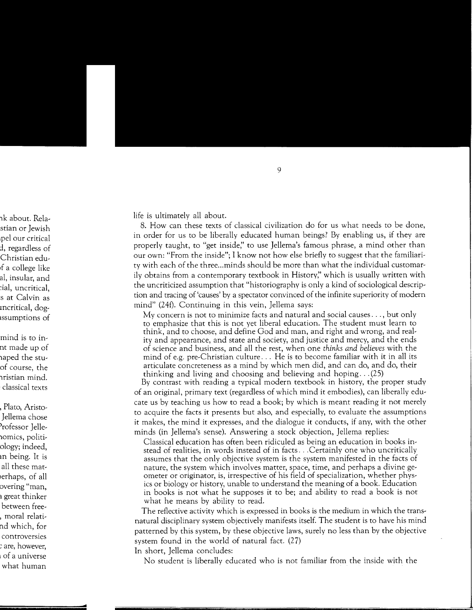life is ultimately all about.

8. How can these texts of classical civilization do for us what needs to be done, in order for us to be liberally educated human beings? By enabling us, if they are properly taught, to "get inside;' to use Jellema's famous phrase, a mind other than our own: "From the inside"; I know not how else briefly to suggest that the familiarity with each of the three ... minds should be more than what the individual customarily obtains from a contemporary textbook in History;' which is usually written with the uncriticized assumption that "historiography is only a kind of sociological description and tracing of 'causes' by a spectator convinced of the infinite superiority of modern mind" (24f). Continuing in this vein, Jellema says:

My concern is not to minimize facts and natural and social causes ... , but only to emphasize that this is not yet liberal education. The student must learn to think, and to choose, and define God and man, and right and wrong, and reality and appearance, and state and society, and justice and mercy, and the ends of science and business, and all the rest, when one *thinks and believes* with the mind of e.g. pre-Christian culture ... He is to become familiar with it in all its articulate concreteness as a mind by which men did, and can do, and do, their thinking and living and choosing and believing and hoping... $(25)$ 

By contrast with reading a typical modern textbook in history, the proper study of an original, primary text (regardless of which mind it embodies), can liberally educate us by teaching us how to read a book; by which is meant reading it not merely to acquire the facts it presents but also, and especially, to evaluate the assumptions it makes, the mind it expresses, and the dialogue it conducts, if any, with the other minds (in Jellema's sense). Answering a stock objection, Jellema replies:

Classical education has often been ridiculed as being an education in books instead of realities, in words instead of in facts ... Certainly one who uncritically assumes that the only objective system is the system manifested in the facts of nature, the system which involves matter, space, time, and perhaps a divine geometer or originator, is, irrespective of his field of specialization, whether physics or biology or history, unable to understand the meaning of a book. Education in books is not what he supposes it to be; and ability to read a book is not what he means by ability to read.

The reflective activity which is expressed in books is the medium in which the transnatural disciplinary system objectively manifests itself. The student is to have his mind patterned by this system, by these objective laws, surely no less than by the objective system found in the world of natural fact.  $(27)$ In short, Jellema concludes:

No student is liberally educated who is not familiar from the inside with the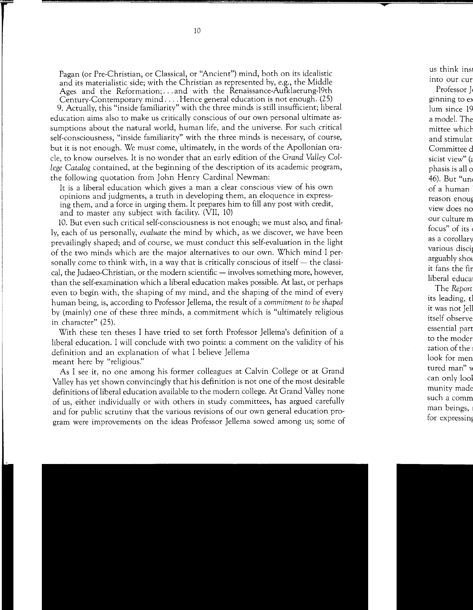Pagan (or Pre-Christian, or Classical, or "Ancient") mind, both on its idealistic and its materialistic side; with the Christian as represented by, e.g., the Middle Ages and the Reformation; ... and with the Renaissance-Aufklaerung-l9th Century-Contemporary mind .... Hence general education is not enough. (25) 9. Actually, this "inside familiarity" with the three minds is still insufficient; liberal education aims also to make us critically conscious of our own personal ultimate assumptions about the natural world, human life, and the universe. For such critical self-consciousness, "inside familiarity" with the three minds is necessary, of course, but it is not enough. We must come, ultimately, in the words of the Apollonian oracle, to know ourselves. It is no wonder that an early edition of the *Grand Valley College Catalog* contained, at the beginning of the description of its academic program, the following quotation from John Henry Cardinal Newman:

It is a liberal education which gives a man a clear conscious view of his own opinions and judgments, a truth in developing them, an eloquence in expressing them, and a force in urging them. It prepares him to fill any post with credit, and to master any subject with facility. (VII, 10)

10. But even such critical self-consciousness is not enough; we must also, and finally, each of us personally, *evaluate* the mind by which, as we discover, we have been prevailingly shaped; and of course, we must conduct this self-evaluation in the light of the two minds which are the major alternatives to our own. Which mind I personally come to think with, in a way that is critically conscious of itself  $-$  the classical, the Judaeo-Christian, or the modern scientific — involves something more, however, than the self-examination which a liberal education makes possible. At last, or perhaps even to begin with, the shaping of my mind, and the shaping of the mind of every human being, is, according to Professor Jellema, the result of a *commitment to be shaped*  by (mainly) one of these three minds, a commitment which is "ultimately religious in character" (25).

With these ten theses I have tried to set forth Professor Jellema's definition of a liberal education. I will conclude with two points: a comment on the validity of his definition and an explanation of what I believe Jellema meant here by "religious."

As I see it, no one among his former colleagues at Calvin College or at Grand Valley has yet shown convincingly that his definition is not one of the most desirable definitions of liberal education available to the modern college. At Grand Valley none of us, either individually or with others in study committees, has argued carefully and for public scrutiny that the various revisions of our own general education program were improvements on the ideas Professor Jellema sowed among us; some of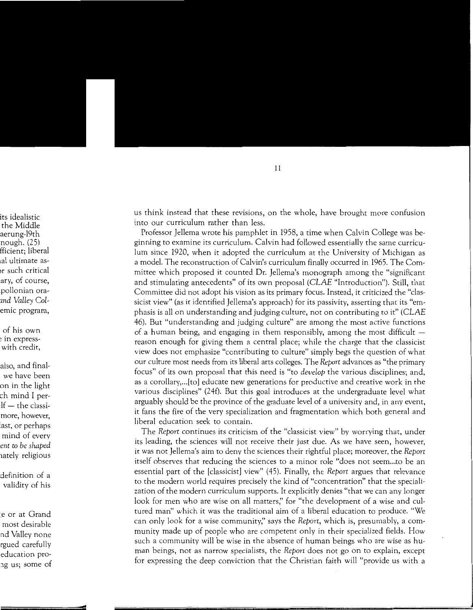us think instead that these revisions, on the whole, have brought more confusion into our curriculum rather than less.

Professor Jellema wrote his pamphlet in 1958, a time when Calvin College was beginning to examine its curriculum. Calvin had followed essentially the same curriculum since 1920, when it adopted the curriculum at the University of Michigan as a model. The reconstruction of Calvin's curriculum finally occurred in 1965. The Committee which proposed it counted Dr. Jellema's monograph among the "significant and stimulating antecedents" of its own proposal (CLAE "Introduction"). Still, that Committee did not adopt his vision as its primary focus. Instead, it criticized the "classicist view" (as it identified Jellema's approach) for its passivity, asserting that its "emphasis is all on understanding and judging culture, not on contributing to it" (CLAE 46). But "understanding and judging culture" are among the most active functions of a human being, and engaging in them responsibly, among the most difficult  $$ reason enough for giving them a central place; while the charge that the classicist view does not emphasize "contributing to culture" simply begs the question of what our culture most needs from its liberal arts colleges. The *Report* advances as "the primary focus" of its own proposal that this need is "to *develop* the various disciplines; and, as a corollary, ... [to] educate new generations for productive and creative work in the various disciplines" (24f). But this goal introduces at the undergraduate level what arguably should be the province of the graduate level of a university and, in any event, it fans the fire of the very specialization and fragmentation which both general and liberal education seek to contain.

The *Report* continues its criticism of the "classicist view" by worrying that, under its leading, the sciences will not receive their just due. As we have seen, however, it was not Jellema's aim to deny the sciences their rightful place; moreover, the *Report*  itself observes that reducing the sciences to a minor role "does not seem ... to be an essential part of the [classicist] view" (45). Finally, the *Report* argues that relevance to the modern world requires precisely the kind of "concentration" that the specialization of the modern curriculum supports. It explicitly denies "that we can any longer look for men who are wise on all matters," for "the development of a wise and cultured man" which it was the traditional aim of a liberal education to produce. "We can only look for a wise community;' says the *Report,* which is, presumably, a community made up of people who are competent only in their specialized fields. How such a community will be wise in the absence of human beings who are wise as human beings, not as narrow specialists, the *Report* does not go on to explain, except for expressing the deep conviction that the Christian faith will "provide us with a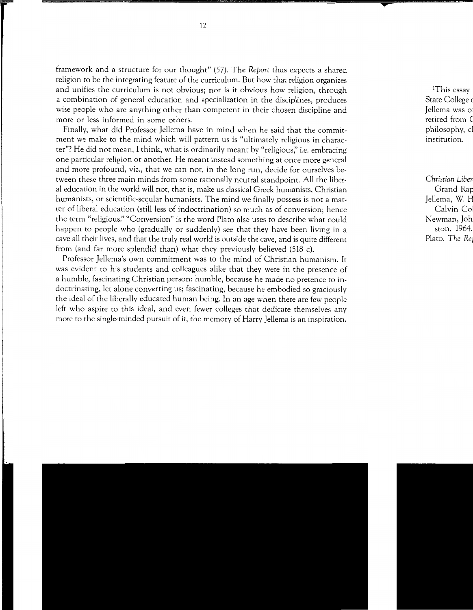framework and a structure for our thought" (57). The *Report* thus expects a shared religion to be the integrating feature of the curriculum. But how that religion organizes and unifies the curriculum is not obvious; nor is it obvious how religion, through a combination of general education and specialization in the disciplines, produces wise people who are anything other than competent in their chosen discipline and more or less informed in some others.

Finally, what did Professor Jellema have in mind when he said that the commitment we make to the mind which will pattern us is "ultimately religious in character"? He did not mean, I think, what is ordinarily meant by "religious;' i.e. embracing one particular religion or another. He meant instead something at once more general and more profound, viz., that we can not, in the long run, decide for ourselves between these three main minds from some rationally neutral standpoint. All the liberal education in the world will not, that is, make us classical Greek humanists, Christian humanists, or scientific-secular humanists. The mind we finally possess is not a matter of liberal education (still less of indoctrination) so much as of conversion; hence the term "religious:' "Conversion" is the word Plato also uses to describe what could happen to people who (gradually or suddenly) see that they have been living in a cave all their lives, and that the truly real world is outside the cave, and is quite different from (and far more splendid than) what they previously believed (518 c).

Professor Jellema's own commitment was to the mind of Christian humanism. It was evident to his students and colleagues alike that they were in the presence of a humble, fascinating Christian person: humble, because he made no pretence to indoctrinating, let alone converting us; fascinating, because he embodied so graciously the ideal of the liberally educated human being. In an age when there are few people left who aspire to this ideal, and even fewer colleges that dedicate themselves any more to the single-minded pursuit of it, the memory of Harry Jellema is an inspiration.